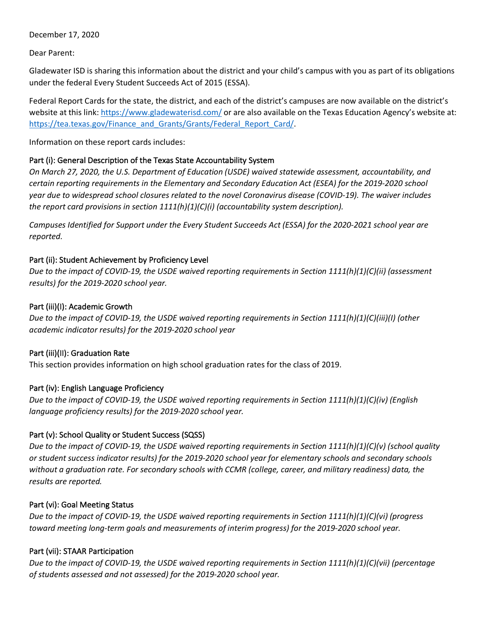December 17, 2020

Dear Parent:

Gladewater ISD is sharing this information about the district and your child's campus with you as part of its obligations under the federal Every Student Succeeds Act of 2015 (ESSA).

Federal Report Cards for the state, the district, and each of the district's campuses are now available on the district's website at this link: https://www.gladewaterisd.com/ or are also available on the Texas Education Agency's website at: https://tea.texas.gov/Finance\_and\_Grants/Grants/Federal\_Report\_Card/.

Information on these report cards includes:

# Part (i): General Description of the Texas State Accountability System

*On March 27, 2020, the U.S. Department of Education (USDE) waived statewide assessment, accountability, and certain reporting requirements in the Elementary and Secondary Education Act (ESEA) for the 2019-2020 school year due to widespread school closures related to the novel Coronavirus disease (COVID-19). The waiver includes the report card provisions in section 1111(h)(1)(C)(i) (accountability system description).*

*Campuses Identified for Support under the Every Student Succeeds Act (ESSA) for the 2020-2021 school year are reported.*

## Part (ii): Student Achievement by Proficiency Level

*Due to the impact of COVID-19, the USDE waived reporting requirements in Section 1111(h)(1)(C)(ii) (assessment results) for the 2019-2020 school year.*

## Part (iii)(I): Academic Growth

*Due to the impact of COVID-19, the USDE waived reporting requirements in Section 1111(h)(1)(C)(iii)(I) (other academic indicator results) for the 2019-2020 school year*

# Part (iii)(II): Graduation Rate

This section provides information on high school graduation rates for the class of 2019.

# Part (iv): English Language Proficiency

*Due to the impact of COVID-19, the USDE waived reporting requirements in Section 1111(h)(1)(C)(iv) (English language proficiency results) for the 2019-2020 school year.*

# Part (v): School Quality or Student Success (SQSS)

*Due to the impact of COVID-19, the USDE waived reporting requirements in Section 1111(h)(1)(C)(v) (school quality or student success indicator results) for the 2019-2020 school year for elementary schools and secondary schools without a graduation rate. For secondary schools with CCMR (college, career, and military readiness) data, the results are reported.*

#### Part (vi): Goal Meeting Status

*Due to the impact of COVID-19, the USDE waived reporting requirements in Section 1111(h)(1)(C)(vi) (progress toward meeting long-term goals and measurements of interim progress) for the 2019-2020 school year.*

# Part (vii): STAAR Participation

*Due to the impact of COVID-19, the USDE waived reporting requirements in Section 1111(h)(1)(C)(vii) (percentage of students assessed and not assessed) for the 2019-2020 school year.*